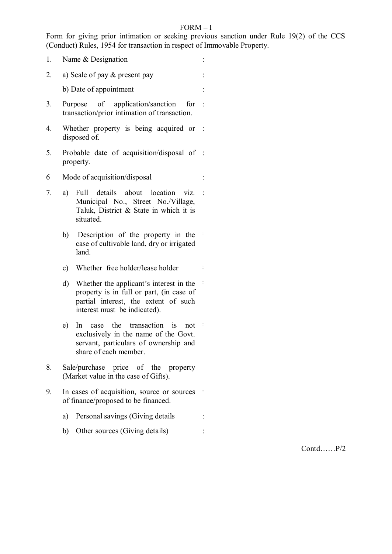### FORM – I

Form for giving prior intimation or seeking previous sanction under Rule 19(2) of the CCS (Conduct) Rules, 1954 for transaction in respect of Immovable Property.

- 1. Name & Designation :
- 2. a) Scale of pay & present pay :

b) Date of appointment :

- 3. Purpose of application/sanction transaction/prior intimation of transaction. for :
- 4. Whether property is being acquired or : disposed of.
- 5. Probable date of acquisition/disposal of : property.
- 6 Mode of acquisition/disposal :
- 7. a) Full details about location viz. : Municipal No., Street No./Village, Taluk, District & State in which it is situated.
	- b) Description of the property in the case of cultivable land, dry or irrigated land.
	- c) Whether free holder/lease holder :
	- d) Whether the applicant's interest in the : property is in full or part, (in case of partial interest, the extent of such interest must be indicated).
	- e) In case the transaction is not exclusively in the name of the Govt. servant, particulars of ownership and share of each member.
- 8. Sale/purchase price of the property (Market value in the case of Gifts).
- 9. In cases of acquisition, source or sources of finance/proposed to be financed.
	- a) Personal savings (Giving details :
	- b) Other sources (Giving details) :

Contd……P/2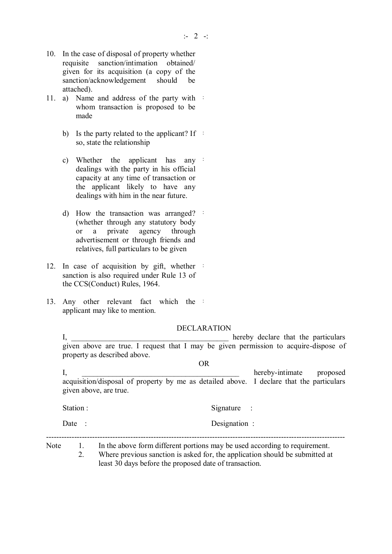- 10. In the case of disposal of property whether requisite sanction/intimation obtained/ given for its acquisition (a copy of the sanction/acknowledgement should be attached).
- 11. a) Name and address of the party with whom transaction is proposed to be made
	- b) Is the party related to the applicant? If  $\ddot{\phantom{1}}$ so, state the relationship
	- c) Whether the applicant has any : dealings with the party in his official capacity at any time of transaction or the applicant likely to have any dealings with him in the near future.
	- d) How the transaction was arranged? : (whether through any statutory body or a private agency through advertisement or through friends and relatives, full particulars to be given
- 12. In case of acquisition by gift, whether sanction is also required under Rule 13 of the CCS(Conduct) Rules, 1964.
- 13. Any other relevant fact which the applicant may like to mention.

DECLARATION

I, \_\_\_\_\_\_\_\_\_\_\_\_\_\_\_\_\_\_\_\_\_\_\_\_\_\_\_\_\_\_\_\_\_\_\_\_\_\_\_\_\_ hereby declare that the particulars given above are true. I request that I may be given permission to acquire-dispose of property as described above.

OR I, the contract of the contract of the contract of the contract of the proposed in the contract of the contract of the contract of the contract of the contract of the contract of the contract of the contract of the contrac acquisition/disposal of property by me as detailed above. I declare that the particulars given above, are true. Station : Signature : Signature : Date : Designation : --------------------------------------------------------------------------------------------------------------------- Note 1. In the above form different portions may be used according to requirement. 2. Where previous sanction is asked for, the application should be submitted at

least 30 days before the proposed date of transaction.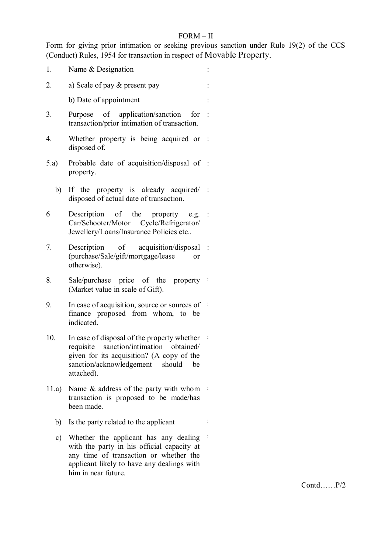## FORM – II

Form for giving prior intimation or seeking previous sanction under Rule 19(2) of the CCS (Conduct) Rules, 1954 for transaction in respect of Movable Property.

- 1. Name & Designation 2. a) Scale of pay  $\&$  present pay : b) Date of appointment : 3. Purpose of application/sanction for : transaction/prior intimation of transaction. 4. Whether property is being acquired or : disposed of. 5.a) Probable date of acquisition/disposal of : property. b) If the property is already acquired/ : disposed of actual date of transaction.  $6$  Description of the property Car/Schooter/Motor Cycle/Refrigerator/ Jewellery/Loans/Insurance Policies etc..  $e.g.$ : 7. Description of acquisition/disposal : (purchase/Sale/gift/mortgage/lease or otherwise). 8. Sale/purchase price of the property : (Market value in scale of Gift). 9. In case of acquisition, source or sources of finance proposed from whom, to be indicated. 10. In case of disposal of the property whether  $\frac{1}{2}$ requisite sanction/intimation obtained/ given for its acquisition? (A copy of the sanction/acknowledgement should be attached). 11.a) Name & address of the party with whom : transaction is proposed to be made/has been made. b) Is the party related to the applicant :
	- c) Whether the applicant has any dealing : with the party in his official capacity at any time of transaction or whether the applicant likely to have any dealings with him in near future.

Contd……P/2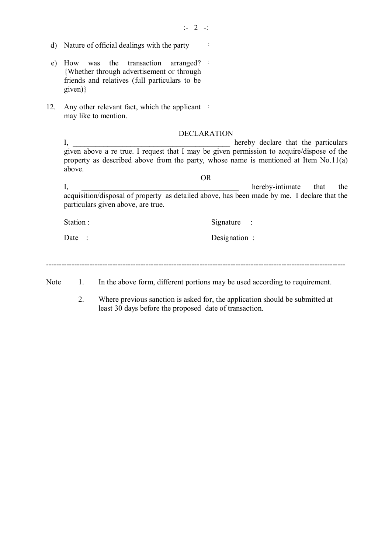- :- 2 -:
- d) Nature of official dealings with the party :
- e) How was the transaction {Whether through advertisement or through friends and relatives (full particulars to be given)} arranged? :
- 12. Any other relevant fact, which the applicant : may like to mention.

#### DECLARATION

I, \_\_\_\_\_\_\_\_\_\_\_\_\_\_\_\_\_\_\_\_\_\_\_\_\_\_\_\_\_\_\_\_\_\_\_\_\_\_\_\_\_ hereby declare that the particulars given above a re true. I request that I may be given permission to acquire/dispose of the property as described above from the party, whose name is mentioned at Item No.11(a) above.

I, hereby-intimate that the acquisition/disposal of property as detailed above, has been made by me. I declare that the particulars given above, are true.

OR

Station : Signature : Signature :

Date : Designation :

---------------------------------------------------------------------------------------------------------------------

Note 1. In the above form, different portions may be used according to requirement.

2. Where previous sanction is asked for, the application should be submitted at least 30 days before the proposed date of transaction.